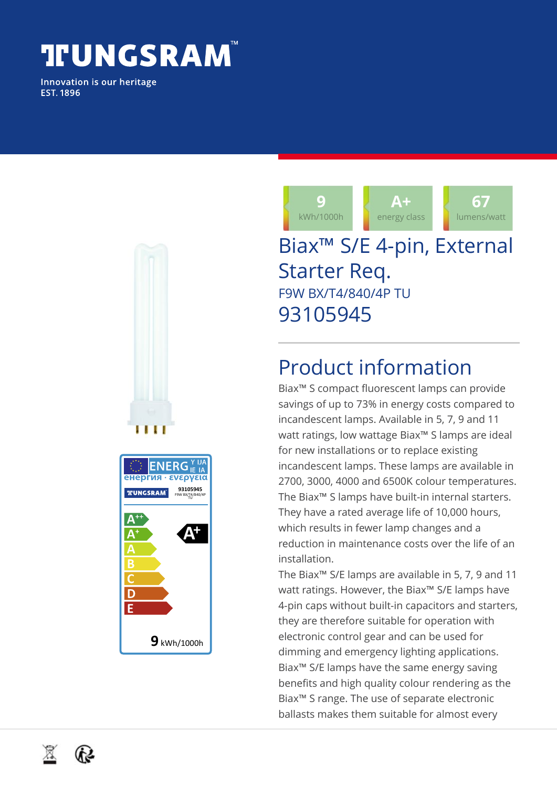# **TUNGSRAM**

Innovation is our heritage **EST. 1896** 



#### **9** kWh/1000h **A+** energy class **67** lumens/watt Biax™ S/E 4-pin, External Starter Req. F9W BX/T4/840/4P TU 93105945

## Product information

Biax™ S compact fluorescent lamps can provide savings of up to 73% in energy costs compared to incandescent lamps. Available in 5, 7, 9 and 11 watt ratings, low wattage Biax™ S lamps are ideal for new installations or to replace existing incandescent lamps. These lamps are available in 2700, 3000, 4000 and 6500K colour temperatures. The Biax™ S lamps have built-in internal starters. They have a rated average life of 10,000 hours, which results in fewer lamp changes and a reduction in maintenance costs over the life of an installation.

The Biax™ S/E lamps are available in 5, 7, 9 and 11 watt ratings. However, the Biax™ S/E lamps have 4-pin caps without built-in capacitors and starters, they are therefore suitable for operation with electronic control gear and can be used for dimming and emergency lighting applications. Biax™ S/E lamps have the same energy saving benefits and high quality colour rendering as the Biax™ S range. The use of separate electronic ballasts makes them suitable for almost every

⊠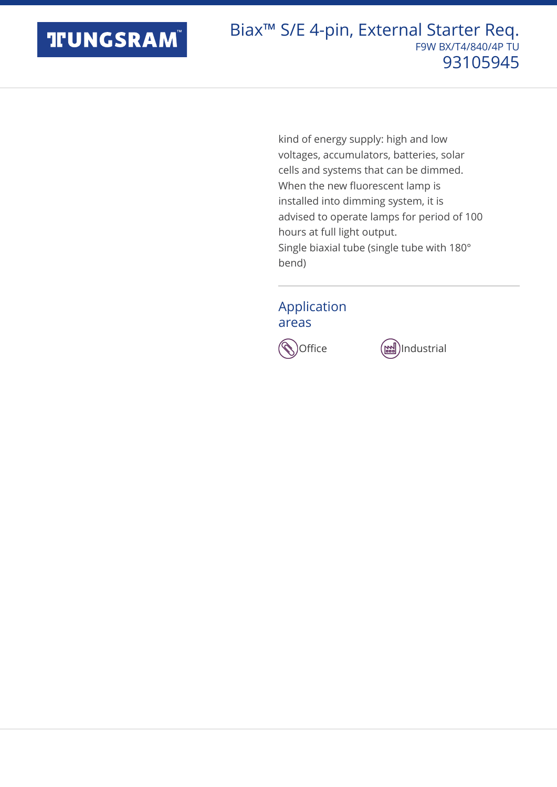## **TFUNGSRAM**

kind of energy supply: high and low voltages, accumulators, batteries, solar cells and systems that can be dimmed. When the new fluorescent lamp is installed into dimming system, it is advised to operate lamps for period of 100 hours at full light output. Single biaxial tube (single tube with 180° bend)

#### Application areas



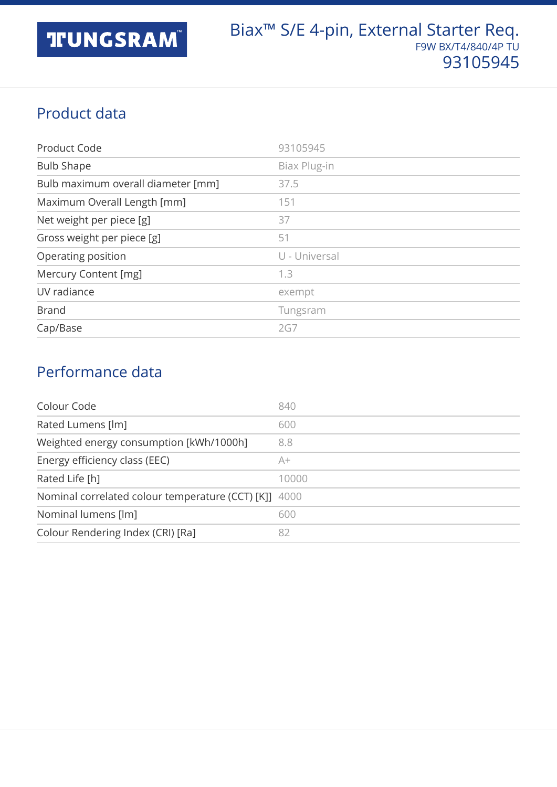## Product data

| Product Code                       | 93105945      |
|------------------------------------|---------------|
| <b>Bulb Shape</b>                  | Biax Plug-in  |
| Bulb maximum overall diameter [mm] | 37.5          |
| Maximum Overall Length [mm]        | 151           |
| Net weight per piece [g]           | 37            |
| Gross weight per piece [g]         | 51            |
| Operating position                 | U - Universal |
| Mercury Content [mg]               | 1.3           |
| UV radiance                        | exempt        |
| <b>Brand</b>                       | Tungsram      |
| Cap/Base                           | 2G7           |

## Performance data

| Colour Code                                           | 840   |
|-------------------------------------------------------|-------|
| Rated Lumens [lm]                                     | 600   |
| Weighted energy consumption [kWh/1000h]               | 8.8   |
| Energy efficiency class (EEC)                         | A+    |
| Rated Life [h]                                        | 10000 |
| Nominal correlated colour temperature (CCT) [K]] 4000 |       |
| Nominal lumens [lm]                                   | 600   |
| Colour Rendering Index (CRI) [Ra]                     | 82    |